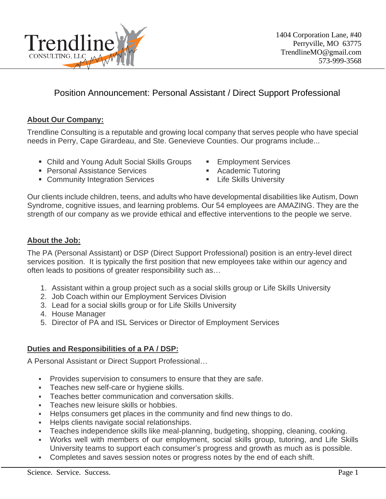

# Position Announcement: Personal Assistant / Direct Support Professional

## **About Our Company:**

Trendline Consulting is a reputable and growing local company that serves people who have special needs in Perry, Cape Girardeau, and Ste. Genevieve Counties. Our programs include...

- Child and Young Adult Social Skills Groups Employment Services
- Personal Assistance Services Academic Tutoring
- Community Integration Services Life Skills University
- 
- -

Our clients include children, teens, and adults who have developmental disabilities like Autism, Down Syndrome, cognitive issues, and learning problems. Our 54 employees are AMAZING. They are the strength of our company as we provide ethical and effective interventions to the people we serve.

#### **About the Job:**

The PA (Personal Assistant) or DSP (Direct Support Professional) position is an entry-level direct services position. It is typically the first position that new employees take within our agency and often leads to positions of greater responsibility such as…

- 1. Assistant within a group project such as a social skills group or Life Skills University
- 2. Job Coach within our Employment Services Division
- 3. Lead for a social skills group or for Life Skills University
- 4. House Manager
- 5. Director of PA and ISL Services or Director of Employment Services

#### **Duties and Responsibilities of a PA / DSP:**

A Personal Assistant or Direct Support Professional…

- **Provides supervision to consumers to ensure that they are safe.**
- **EXEC** Teaches new self-care or hygiene skills.
- Teaches better communication and conversation skills.
- **EXEC** Teaches new leisure skills or hobbies.
- Helps consumers get places in the community and find new things to do.
- Helps clients navigate social relationships.
- Teaches independence skills like meal-planning, budgeting, shopping, cleaning, cooking.
- Works well with members of our employment, social skills group, tutoring, and Life Skills University teams to support each consumer's progress and growth as much as is possible.
- Completes and saves session notes or progress notes by the end of each shift.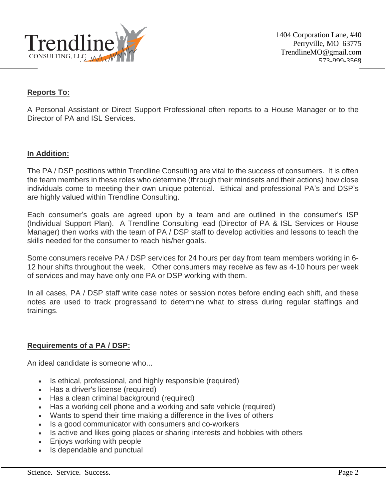

1404 Corporation Lane, #40 Perryville, MO 63775 TrendlineMO@gmail.com 573-000-3568

## **Reports To:**

A Personal Assistant or Direct Support Professional often reports to a House Manager or to the Director of PA and ISL Services.

#### **In Addition:**

The PA / DSP positions within Trendline Consulting are vital to the success of consumers. It is often the team members in these roles who determine (through their mindsets and their actions) how close individuals come to meeting their own unique potential. Ethical and professional PA's and DSP's are highly valued within Trendline Consulting.

Each consumer's goals are agreed upon by a team and are outlined in the consumer's ISP (Individual Support Plan). A Trendline Consulting lead (Director of PA & ISL Services or House Manager) then works with the team of PA / DSP staff to develop activities and lessons to teach the skills needed for the consumer to reach his/her goals.

Some consumers receive PA / DSP services for 24 hours per day from team members working in 6- 12 hour shifts throughout the week. Other consumers may receive as few as 4-10 hours per week of services and may have only one PA or DSP working with them.

In all cases, PA / DSP staff write case notes or session notes before ending each shift, and these notes are used to track progressand to determine what to stress during regular staffings and trainings.

#### **Requirements of a PA / DSP:**

An ideal candidate is someone who...

- Is ethical, professional, and highly responsible (required)
- Has a driver's license (required)
- Has a clean criminal background (required)
- Has a working cell phone and a working and safe vehicle (required)
- Wants to spend their time making a difference in the lives of others
- Is a good communicator with consumers and co-workers
- Is active and likes going places or sharing interests and hobbies with others
- Enjoys working with people
- Is dependable and punctual